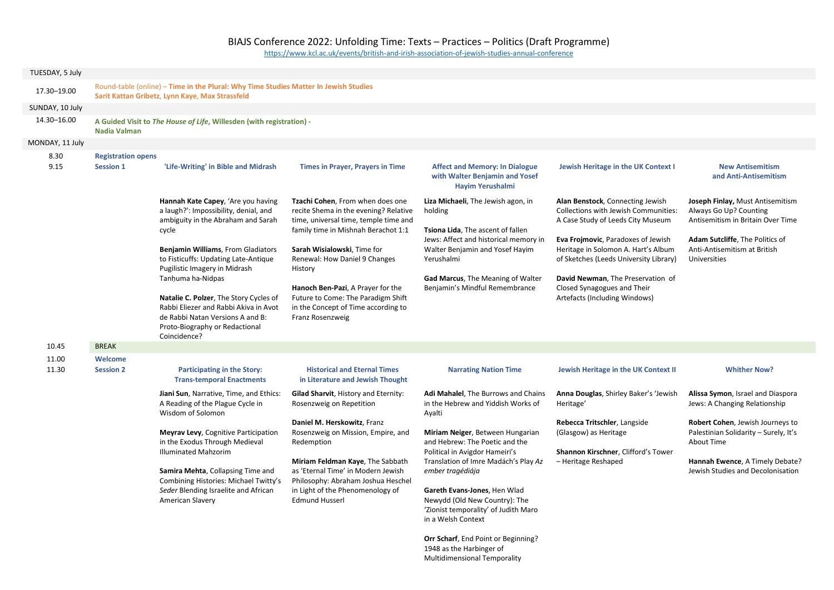<https://www.kcl.ac.uk/events/british-and-irish-association-of-jewish-studies-annual-conference>

| TUESDAY, 5 July |                                                                                                                                         |                                                                                                                                                                                            |                                                                                                                                                           |                                                                                                                             |                                                                                                                                                     |                                                                                                                                    |  |  |
|-----------------|-----------------------------------------------------------------------------------------------------------------------------------------|--------------------------------------------------------------------------------------------------------------------------------------------------------------------------------------------|-----------------------------------------------------------------------------------------------------------------------------------------------------------|-----------------------------------------------------------------------------------------------------------------------------|-----------------------------------------------------------------------------------------------------------------------------------------------------|------------------------------------------------------------------------------------------------------------------------------------|--|--|
| 17.30-19.00     | Round-table (online) - Time in the Plural: Why Time Studies Matter In Jewish Studies<br>Sarit Kattan Gribetz, Lynn Kaye, Max Strassfeld |                                                                                                                                                                                            |                                                                                                                                                           |                                                                                                                             |                                                                                                                                                     |                                                                                                                                    |  |  |
| SUNDAY, 10 July |                                                                                                                                         |                                                                                                                                                                                            |                                                                                                                                                           |                                                                                                                             |                                                                                                                                                     |                                                                                                                                    |  |  |
| 14.30-16.00     | <b>Nadia Valman</b>                                                                                                                     | A Guided Visit to The House of Life, Willesden (with registration) -                                                                                                                       |                                                                                                                                                           |                                                                                                                             |                                                                                                                                                     |                                                                                                                                    |  |  |
| MONDAY, 11 July |                                                                                                                                         |                                                                                                                                                                                            |                                                                                                                                                           |                                                                                                                             |                                                                                                                                                     |                                                                                                                                    |  |  |
| 8.30            | <b>Registration opens</b>                                                                                                               |                                                                                                                                                                                            |                                                                                                                                                           |                                                                                                                             |                                                                                                                                                     |                                                                                                                                    |  |  |
| 9.15            | <b>Session 1</b>                                                                                                                        | 'Life-Writing' in Bible and Midrash                                                                                                                                                        | <b>Times in Prayer, Prayers in Time</b>                                                                                                                   | <b>Affect and Memory: In Dialogue</b><br>with Walter Benjamin and Yosef<br>Hayim Yerushalmi                                 | Jewish Heritage in the UK Context I                                                                                                                 | <b>New Antisemitism</b><br>and Anti-Antisemitism                                                                                   |  |  |
|                 |                                                                                                                                         | Hannah Kate Capey, 'Are you having<br>a laugh?': Impossibility, denial, and<br>ambiguity in the Abraham and Sarah<br>cycle                                                                 | Tzachi Cohen, From when does one<br>recite Shema in the evening? Relative<br>time, universal time, temple time and<br>family time in Mishnah Berachot 1:1 | Liza Michaeli, The Jewish agon, in<br>holding<br>Tsiona Lida, The ascent of fallen<br>Jews: Affect and historical memory in | Alan Benstock, Connecting Jewish<br>Collections with Jewish Communities:<br>A Case Study of Leeds City Museum<br>Eva Frojmovic, Paradoxes of Jewish | Joseph Finlay, Must Antisemitism<br>Always Go Up? Counting<br>Antisemitism in Britain Over Time<br>Adam Sutcliffe, The Politics of |  |  |
|                 |                                                                                                                                         | <b>Benjamin Williams, From Gladiators</b><br>to Fisticuffs: Updating Late-Antique<br>Pugilistic Imagery in Midrash                                                                         | Sarah Wisialowski, Time for<br>Renewal: How Daniel 9 Changes<br>History                                                                                   | Walter Benjamin and Yosef Hayim<br>Yerushalmi                                                                               | Heritage in Solomon A. Hart's Album<br>of Sketches (Leeds University Library)                                                                       | Anti-Antisemitism at British<br>Universities                                                                                       |  |  |
|                 |                                                                                                                                         | Tanhuma ha-Nidpas<br>Natalie C. Polzer, The Story Cycles of<br>Rabbi Eliezer and Rabbi Akiva in Avot<br>de Rabbi Natan Versions A and B:<br>Proto-Biography or Redactional<br>Coincidence? | Hanoch Ben-Pazi, A Prayer for the<br>Future to Come: The Paradigm Shift<br>in the Concept of Time according to<br>Franz Rosenzweig                        | Gad Marcus, The Meaning of Walter<br>Benjamin's Mindful Remembrance                                                         | David Newman, The Preservation of<br>Closed Synagogues and Their<br>Artefacts (Including Windows)                                                   |                                                                                                                                    |  |  |
| 10.45           | <b>BREAK</b>                                                                                                                            |                                                                                                                                                                                            |                                                                                                                                                           |                                                                                                                             |                                                                                                                                                     |                                                                                                                                    |  |  |
| 11.00           | Welcome                                                                                                                                 |                                                                                                                                                                                            |                                                                                                                                                           |                                                                                                                             |                                                                                                                                                     |                                                                                                                                    |  |  |
| 11.30           | <b>Session 2</b>                                                                                                                        | <b>Participating in the Story:</b><br><b>Trans-temporal Enactments</b>                                                                                                                     | <b>Historical and Eternal Times</b><br>in Literature and Jewish Thought                                                                                   | <b>Narrating Nation Time</b>                                                                                                | Jewish Heritage in the UK Context II                                                                                                                | <b>Whither Now?</b>                                                                                                                |  |  |
|                 |                                                                                                                                         | Jiani Sun, Narrative, Time, and Ethics:<br>A Reading of the Plague Cycle in<br>Wisdom of Solomon                                                                                           | Gilad Sharvit, History and Eternity:<br>Rosenzweig on Repetition                                                                                          | Adi Mahalel, The Burrows and Chains<br>in the Hebrew and Yiddish Works of<br>Ayalti                                         | Anna Douglas, Shirley Baker's 'Jewish<br>Heritage'                                                                                                  | Alissa Symon, Israel and Diaspora<br>Jews: A Changing Relationship                                                                 |  |  |
|                 |                                                                                                                                         | Meyrav Levy, Cognitive Participation<br>in the Exodus Through Medieval<br><b>Illuminated Mahzorim</b>                                                                                      | Daniel M. Herskowitz, Franz<br>Rosenzweig on Mission, Empire, and<br>Redemption                                                                           | Miriam Neiger, Between Hungarian<br>and Hebrew: The Poetic and the<br>Political in Avigdor Hameiri's                        | Rebecca Tritschler, Langside<br>(Glasgow) as Heritage<br>Shannon Kirschner, Clifford's Tower                                                        | Robert Cohen, Jewish Journeys to<br>Palestinian Solidarity - Surely, It's<br>About Time                                            |  |  |
|                 |                                                                                                                                         | Samira Mehta, Collapsing Time and<br>Combining Histories: Michael Twitty's<br>Seder Blending Israelite and African<br><b>Edmund Husserl</b><br>American Slavery                            | Miriam Feldman Kaye, The Sabbath<br>as 'Eternal Time' in Modern Jewish<br>Philosophy: Abraham Joshua Heschel                                              | Translation of Imre Madách's Play Az<br>ember tragédiája                                                                    | - Heritage Reshaped                                                                                                                                 | Hannah Ewence, A Timely Debate?<br>Jewish Studies and Decolonisation                                                               |  |  |
|                 |                                                                                                                                         |                                                                                                                                                                                            | in Light of the Phenomenology of                                                                                                                          | Gareth Evans-Jones, Hen Wlad<br>Newydd (Old New Country): The<br>'Zionist temporality' of Judith Maro<br>in a Welsh Context |                                                                                                                                                     |                                                                                                                                    |  |  |
|                 |                                                                                                                                         |                                                                                                                                                                                            |                                                                                                                                                           | Orr Scharf, End Point or Beginning?                                                                                         |                                                                                                                                                     |                                                                                                                                    |  |  |

1948 as the Harbinger of Multidimensional Temporality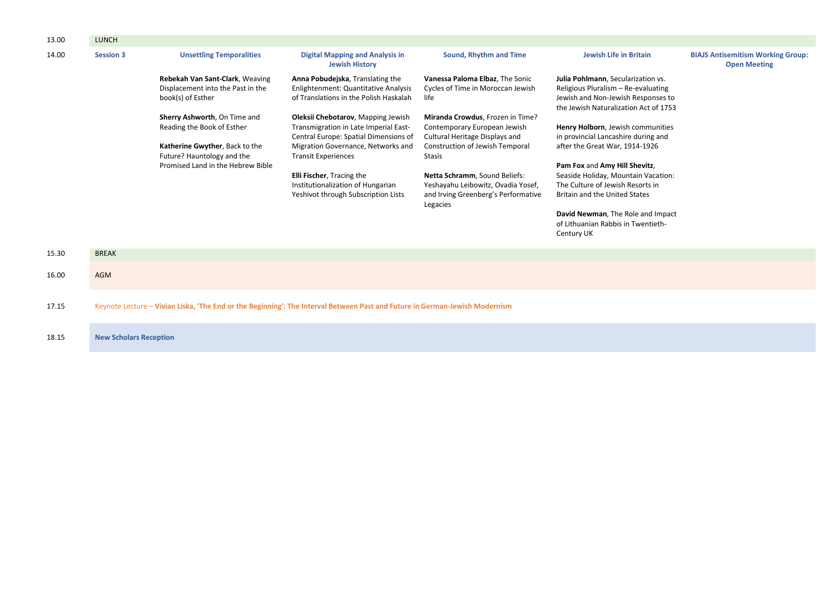| 13.00 | <b>LUNCH</b>                  |                                                                                                                                                                 |                                                                                                                                                                                                                                                                                                   |                                                                                                                                                                                                                                                                                  |                                                                                                                                                                                                                                                                                                                                                         |                                                                 |
|-------|-------------------------------|-----------------------------------------------------------------------------------------------------------------------------------------------------------------|---------------------------------------------------------------------------------------------------------------------------------------------------------------------------------------------------------------------------------------------------------------------------------------------------|----------------------------------------------------------------------------------------------------------------------------------------------------------------------------------------------------------------------------------------------------------------------------------|---------------------------------------------------------------------------------------------------------------------------------------------------------------------------------------------------------------------------------------------------------------------------------------------------------------------------------------------------------|-----------------------------------------------------------------|
| 14.00 | <b>Session 3</b>              | <b>Unsettling Temporalities</b>                                                                                                                                 | <b>Digital Mapping and Analysis in</b><br><b>Jewish History</b>                                                                                                                                                                                                                                   | Sound, Rhythm and Time                                                                                                                                                                                                                                                           | <b>Jewish Life in Britain</b>                                                                                                                                                                                                                                                                                                                           | <b>BIAJS Antisemitism Working Group:</b><br><b>Open Meeting</b> |
|       |                               | Rebekah Van Sant-Clark, Weaving<br>Displacement into the Past in the<br>book(s) of Esther                                                                       | Anna Pobudejska, Translating the<br>Enlightenment: Quantitative Analysis<br>of Translations in the Polish Haskalah                                                                                                                                                                                | Vanessa Paloma Elbaz, The Sonic<br>Cycles of Time in Moroccan Jewish<br>life                                                                                                                                                                                                     | Julia Pohlmann, Secularization vs.<br>Religious Pluralism - Re-evaluating<br>Jewish and Non-Jewish Responses to<br>the Jewish Naturalization Act of 1753                                                                                                                                                                                                |                                                                 |
|       |                               | Sherry Ashworth, On Time and<br>Reading the Book of Esther<br>Katherine Gwyther, Back to the<br>Future? Hauntology and the<br>Promised Land in the Hebrew Bible | Oleksii Chebotarov, Mapping Jewish<br>Transmigration in Late Imperial East-<br>Central Europe: Spatial Dimensions of<br>Migration Governance, Networks and<br><b>Transit Experiences</b><br>Elli Fischer, Tracing the<br>Institutionalization of Hungarian<br>Yeshivot through Subscription Lists | Miranda Crowdus, Frozen in Time?<br>Contemporary European Jewish<br>Cultural Heritage Displays and<br>Construction of Jewish Temporal<br><b>Stasis</b><br>Netta Schramm, Sound Beliefs:<br>Yeshayahu Leibowitz, Ovadia Yosef,<br>and Irving Greenberg's Performative<br>Legacies | Henry Holborn, Jewish communities<br>in provincial Lancashire during and<br>after the Great War, 1914-1926<br>Pam Fox and Amy Hill Shevitz,<br>Seaside Holiday, Mountain Vacation:<br>The Culture of Jewish Resorts in<br><b>Britain and the United States</b><br>David Newman, The Role and Impact<br>of Lithuanian Rabbis in Twentieth-<br>Century UK |                                                                 |
| 15.30 | <b>BREAK</b>                  |                                                                                                                                                                 |                                                                                                                                                                                                                                                                                                   |                                                                                                                                                                                                                                                                                  |                                                                                                                                                                                                                                                                                                                                                         |                                                                 |
| 16.00 | <b>AGM</b>                    |                                                                                                                                                                 |                                                                                                                                                                                                                                                                                                   |                                                                                                                                                                                                                                                                                  |                                                                                                                                                                                                                                                                                                                                                         |                                                                 |
| 17.15 |                               |                                                                                                                                                                 | Keynote Lecture - Vivian Liska, 'The End or the Beginning': The Interval Between Past and Future in German-Jewish Modernism                                                                                                                                                                       |                                                                                                                                                                                                                                                                                  |                                                                                                                                                                                                                                                                                                                                                         |                                                                 |
| 18.15 | <b>New Scholars Reception</b> |                                                                                                                                                                 |                                                                                                                                                                                                                                                                                                   |                                                                                                                                                                                                                                                                                  |                                                                                                                                                                                                                                                                                                                                                         |                                                                 |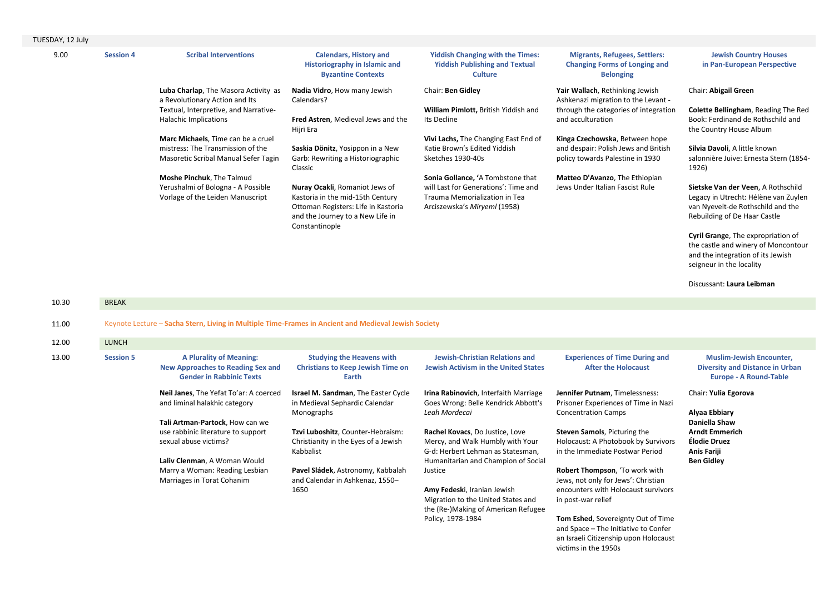| TUESDAY, 12 July |                  |                                                                        |                                                                                                                               |                                                                                                    |                                                                                                  |                                                                                                           |
|------------------|------------------|------------------------------------------------------------------------|-------------------------------------------------------------------------------------------------------------------------------|----------------------------------------------------------------------------------------------------|--------------------------------------------------------------------------------------------------|-----------------------------------------------------------------------------------------------------------|
| 9.00             | <b>Session 4</b> | <b>Scribal Interventions</b>                                           | <b>Calendars, History and</b><br>Historiography in Islamic and<br><b>Byzantine Contexts</b>                                   | <b>Yiddish Changing with the Times:</b><br><b>Yiddish Publishing and Textual</b><br><b>Culture</b> | <b>Migrants, Refugees, Settlers:</b><br><b>Changing Forms of Longing and</b><br><b>Belonging</b> | <b>Jewish Country Houses</b><br>in Pan-European Perspective                                               |
|                  |                  | Luba Charlap, The Masora Activity as<br>a Revolutionary Action and Its | Nadia Vidro, How many Jewish<br>Calendars?                                                                                    | Chair: Ben Gidley                                                                                  | Yair Wallach, Rethinking Jewish<br>Ashkenazi migration to the Levant -                           | Chair: Abigail Green                                                                                      |
|                  |                  | Textual, Interpretive, and Narrative-                                  |                                                                                                                               | William Pimlott, British Yiddish and                                                               | through the categories of integration                                                            | Colette Bellingham, Reading The Red                                                                       |
|                  |                  | Halachic Implications                                                  | Fred Astren, Medieval Jews and the<br>Hijrī Era                                                                               | Its Decline                                                                                        | and acculturation                                                                                | Book: Ferdinand de Rothschild and<br>the Country House Album                                              |
|                  |                  | <b>Marc Michaels.</b> Time can be a cruel                              |                                                                                                                               | Vivi Lachs, The Changing East End of                                                               | Kinga Czechowska, Between hope                                                                   |                                                                                                           |
|                  |                  | mistress: The Transmission of the                                      | Saskia Dönitz, Yosippon in a New                                                                                              | Katie Brown's Edited Yiddish                                                                       | and despair: Polish Jews and British                                                             | Silvia Davoli, A little known                                                                             |
|                  |                  | Masoretic Scribal Manual Sefer Tagin                                   | Garb: Rewriting a Historiographic<br>Classic                                                                                  | Sketches 1930-40s                                                                                  | policy towards Palestine in 1930                                                                 | salonnière Juive: Ernesta Stern (1854-<br>1926)                                                           |
|                  |                  | Moshe Pinchuk, The Talmud                                              |                                                                                                                               | Sonia Gollance, 'A Tombstone that                                                                  | Matteo D'Avanzo, The Ethiopian                                                                   |                                                                                                           |
|                  |                  | Yerushalmi of Bologna - A Possible                                     | <b>Nuray Ocakli, Romaniot Jews of</b>                                                                                         | will Last for Generations': Time and                                                               | Jews Under Italian Fascist Rule                                                                  | Sietske Van der Veen, A Rothschild                                                                        |
|                  |                  | Vorlage of the Leiden Manuscript                                       | Kastoria in the mid-15th Century<br>Ottoman Registers: Life in Kastoria<br>and the Journey to a New Life in<br>Constantinople | Trauma Memorialization in Tea<br>Arciszewska's Miryeml (1958)                                      |                                                                                                  | Legacy in Utrecht: Hélène van Zuylen<br>van Nyevelt-de Rothschild and the<br>Rebuilding of De Haar Castle |

10.30 BREAK

and the integration of its Jewish seigneur in the locality Discussant: **Laura Leibman**

an Israeli Citizenship upon Holocaust

victims in the 1950s

**Cyril Grange**, The expropriation of the castle and winery of Moncontour

| 11.00 |                  | Keynote Lecture - Sacha Stern, Living in Multiple Time-Frames in Ancient and Medieval Jewish Society          |                                                                                            |                                                                                                          |                                                                                                      |                                                                                                            |
|-------|------------------|---------------------------------------------------------------------------------------------------------------|--------------------------------------------------------------------------------------------|----------------------------------------------------------------------------------------------------------|------------------------------------------------------------------------------------------------------|------------------------------------------------------------------------------------------------------------|
| 12.00 | <b>LUNCH</b>     |                                                                                                               |                                                                                            |                                                                                                          |                                                                                                      |                                                                                                            |
| 13.00 | <b>Session 5</b> | <b>A Plurality of Meaning:</b><br><b>New Approaches to Reading Sex and</b><br><b>Gender in Rabbinic Texts</b> | <b>Studying the Heavens with</b><br><b>Christians to Keep Jewish Time on</b><br>Earth      | <b>Jewish-Christian Relations and</b><br><b>Jewish Activism in the United States</b>                     | <b>Experiences of Time During and</b><br><b>After the Holocaust</b>                                  | <b>Muslim-Jewish Encounter,</b><br><b>Diversity and Distance in Urban</b><br><b>Europe - A Round-Table</b> |
|       |                  | Neil Janes, The Yefat To'ar: A coerced<br>and liminal halakhic category                                       | <b>Israel M. Sandman, The Easter Cycle</b><br>in Medieval Sephardic Calendar<br>Monographs | Irina Rabinovich, Interfaith Marriage<br>Goes Wrong: Belle Kendrick Abbott's<br>Leah Mordecai            | Jennifer Putnam, Timelessness:<br>Prisoner Experiences of Time in Nazi<br><b>Concentration Camps</b> | Chair: Yulia Egorova<br>Alyaa Ebbiary                                                                      |
|       |                  | Tali Artman-Partock, How can we                                                                               |                                                                                            |                                                                                                          |                                                                                                      | Daniella Shaw                                                                                              |
|       |                  | use rabbinic literature to support                                                                            | Tzvi Luboshitz, Counter-Hebraism:                                                          | Rachel Kovacs, Do Justice, Love                                                                          | Steven Samols, Picturing the                                                                         | <b>Arndt Emmerich</b>                                                                                      |
|       |                  | sexual abuse victims?                                                                                         | Christianity in the Eyes of a Jewish                                                       | Mercy, and Walk Humbly with Your                                                                         | Holocaust: A Photobook by Survivors                                                                  | Élodie Druez                                                                                               |
|       |                  |                                                                                                               | Kabbalist                                                                                  | G-d: Herbert Lehman as Statesman,                                                                        | in the Immediate Postwar Period                                                                      | Anis Fariji                                                                                                |
|       |                  | Laliv Clenman, A Woman Would                                                                                  |                                                                                            | Humanitarian and Champion of Social                                                                      |                                                                                                      | <b>Ben Gidley</b>                                                                                          |
|       |                  | Marry a Woman: Reading Lesbian                                                                                | Pavel Sládek, Astronomy, Kabbalah                                                          | Justice                                                                                                  | Robert Thompson, 'To work with                                                                       |                                                                                                            |
|       |                  | Marriages in Torat Cohanim                                                                                    | and Calendar in Ashkenaz, 1550-                                                            |                                                                                                          | Jews, not only for Jews': Christian<br>encounters with Holocaust survivors                           |                                                                                                            |
|       |                  |                                                                                                               | 1650                                                                                       | Amy Fedeski, Iranian Jewish<br>Migration to the United States and<br>the (Re-)Making of American Refugee | in post-war relief                                                                                   |                                                                                                            |
|       |                  |                                                                                                               |                                                                                            | Policy, 1978-1984                                                                                        | Tom Eshed, Sovereignty Out of Time<br>and Space - The Initiative to Confer                           |                                                                                                            |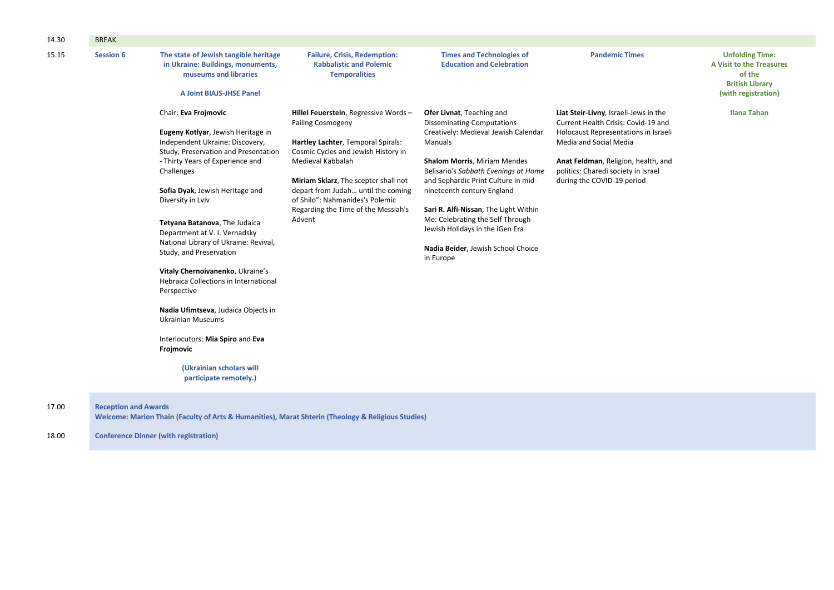| 14.30 | <b>BREAK</b>                                 |                                                                                                                                                                                                                                                                                                                                                                                                                                                                                                                                                                                                                                                             |                                                                                                                                                                                                                                                                                                                                      |                                                                                                                                                                                                                                                                                                                                                                                                                                   |                                                                                                                                                                                                                                                            |                                                                                                               |
|-------|----------------------------------------------|-------------------------------------------------------------------------------------------------------------------------------------------------------------------------------------------------------------------------------------------------------------------------------------------------------------------------------------------------------------------------------------------------------------------------------------------------------------------------------------------------------------------------------------------------------------------------------------------------------------------------------------------------------------|--------------------------------------------------------------------------------------------------------------------------------------------------------------------------------------------------------------------------------------------------------------------------------------------------------------------------------------|-----------------------------------------------------------------------------------------------------------------------------------------------------------------------------------------------------------------------------------------------------------------------------------------------------------------------------------------------------------------------------------------------------------------------------------|------------------------------------------------------------------------------------------------------------------------------------------------------------------------------------------------------------------------------------------------------------|---------------------------------------------------------------------------------------------------------------|
| 15.15 | <b>Session 6</b>                             | The state of Jewish tangible heritage<br>in Ukraine: Buildings, monuments,<br>museums and libraries<br><b>A Joint BIAJS-JHSE Panel</b>                                                                                                                                                                                                                                                                                                                                                                                                                                                                                                                      | <b>Failure, Crisis, Redemption:</b><br><b>Kabbalistic and Polemic</b><br><b>Temporalities</b>                                                                                                                                                                                                                                        | <b>Times and Technologies of</b><br><b>Education and Celebration</b>                                                                                                                                                                                                                                                                                                                                                              | <b>Pandemic Times</b>                                                                                                                                                                                                                                      | <b>Unfolding Time:</b><br>A Visit to the Treasures<br>of the<br><b>British Library</b><br>(with registration) |
|       |                                              | Chair: Eva Frojmovic<br>Eugeny Kotlyar, Jewish Heritage in<br>Independent Ukraine: Discovery,<br>Study, Preservation and Presentation<br>- Thirty Years of Experience and<br>Challenges<br>Sofia Dyak, Jewish Heritage and<br>Diversity in Lviv<br>Tetyana Batanova, The Judaica<br>Department at V. I. Vernadsky<br>National Library of Ukraine: Revival,<br>Study, and Preservation<br>Vitaly Chernoivanenko, Ukraine's<br>Hebraica Collections in International<br>Perspective<br>Nadia Ufimtseva, Judaica Objects in<br><b>Ukrainian Museums</b><br>Interlocutors: Mia Spiro and Eva<br>Frojmovic<br>(Ukrainian scholars will<br>participate remotely.) | Hillel Feuerstein, Regressive Words-<br><b>Failing Cosmogeny</b><br>Hartley Lachter, Temporal Spirals:<br>Cosmic Cycles and Jewish History in<br>Medieval Kabbalah<br>Miriam Sklarz, The scepter shall not<br>depart from Judah until the coming<br>of Shilo": Nahmanides's Polemic<br>Regarding the Time of the Messiah's<br>Advent | Ofer Livnat, Teaching and<br><b>Disseminating Computations</b><br>Creatively: Medieval Jewish Calendar<br>Manuals<br>Shalom Morris, Miriam Mendes<br>Belisario's Sabbath Evenings at Home<br>and Sephardic Print Culture in mid-<br>nineteenth century England<br>Sari R. Alfi-Nissan, The Light Within<br>Me: Celebrating the Self Through<br>Jewish Holidays in the iGen Era<br>Nadia Beider, Jewish School Choice<br>in Europe | Liat Steir-Livny, Israeli-Jews in the<br>Current Health Crisis: Covid-19 and<br>Holocaust Representations in Israeli<br>Media and Social Media<br>Anat Feldman, Religion, health, and<br>politics: Charedi society in Israel<br>during the COVID-19 period | <b>Ilana Tahan</b>                                                                                            |
| 17.00 | <b>Reception and Awards</b>                  | Welcome: Marion Thain (Faculty of Arts & Humanities), Marat Shterin (Theology & Religious Studies)                                                                                                                                                                                                                                                                                                                                                                                                                                                                                                                                                          |                                                                                                                                                                                                                                                                                                                                      |                                                                                                                                                                                                                                                                                                                                                                                                                                   |                                                                                                                                                                                                                                                            |                                                                                                               |
| 18.00 | <b>Conference Dinner (with registration)</b> |                                                                                                                                                                                                                                                                                                                                                                                                                                                                                                                                                                                                                                                             |                                                                                                                                                                                                                                                                                                                                      |                                                                                                                                                                                                                                                                                                                                                                                                                                   |                                                                                                                                                                                                                                                            |                                                                                                               |